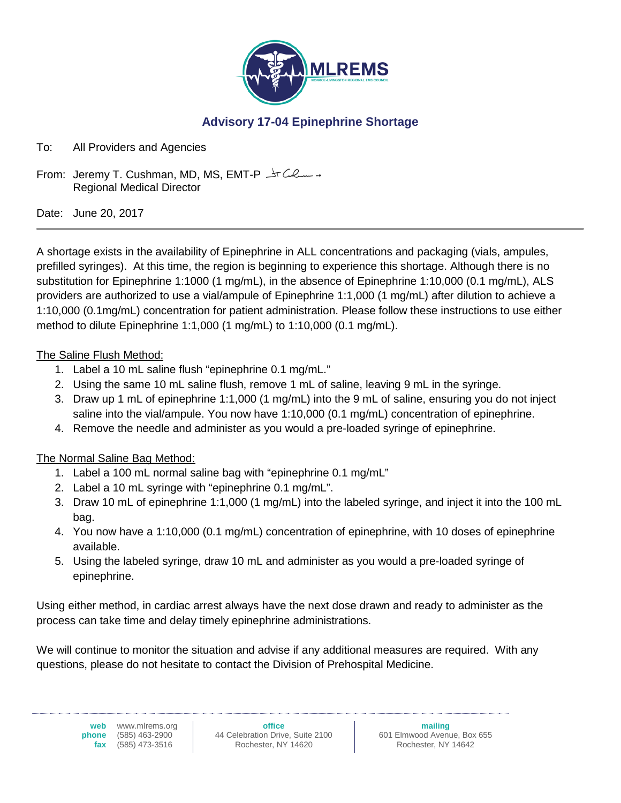

### **Advisory 17-04 Epinephrine Shortage**

To: All Providers and Agencies

From: Jeremy T. Cushman, MD, MS, EMT-P  $\pm$ T Culum is Regional Medical Director

Date: June 20, 2017

A shortage exists in the availability of Epinephrine in ALL concentrations and packaging (vials, ampules, prefilled syringes). At this time, the region is beginning to experience this shortage. Although there is no substitution for Epinephrine 1:1000 (1 mg/mL), in the absence of Epinephrine 1:10,000 (0.1 mg/mL), ALS providers are authorized to use a vial/ampule of Epinephrine 1:1,000 (1 mg/mL) after dilution to achieve a 1:10,000 (0.1mg/mL) concentration for patient administration. Please follow these instructions to use either method to dilute Epinephrine 1:1,000 (1 mg/mL) to 1:10,000 (0.1 mg/mL).

#### The Saline Flush Method:

- 1. Label a 10 mL saline flush "epinephrine 0.1 mg/mL."
- 2. Using the same 10 mL saline flush, remove 1 mL of saline, leaving 9 mL in the syringe.
- 3. Draw up 1 mL of epinephrine 1:1,000 (1 mg/mL) into the 9 mL of saline, ensuring you do not inject saline into the vial/ampule. You now have 1:10,000 (0.1 mg/mL) concentration of epinephrine.
- 4. Remove the needle and administer as you would a pre-loaded syringe of epinephrine.

#### The Normal Saline Bag Method:

- 1. Label a 100 mL normal saline bag with "epinephrine 0.1 mg/mL"
- 2. Label a 10 mL syringe with "epinephrine 0.1 mg/mL".
- 3. Draw 10 mL of epinephrine 1:1,000 (1 mg/mL) into the labeled syringe, and inject it into the 100 mL bag.
- 4. You now have a 1:10,000 (0.1 mg/mL) concentration of epinephrine, with 10 doses of epinephrine available.
- 5. Using the labeled syringe, draw 10 mL and administer as you would a pre-loaded syringe of epinephrine.

Using either method, in cardiac arrest always have the next dose drawn and ready to administer as the process can take time and delay timely epinephrine administrations.

We will continue to monitor the situation and advise if any additional measures are required. With any questions, please do not hesitate to contact the Division of Prehospital Medicine.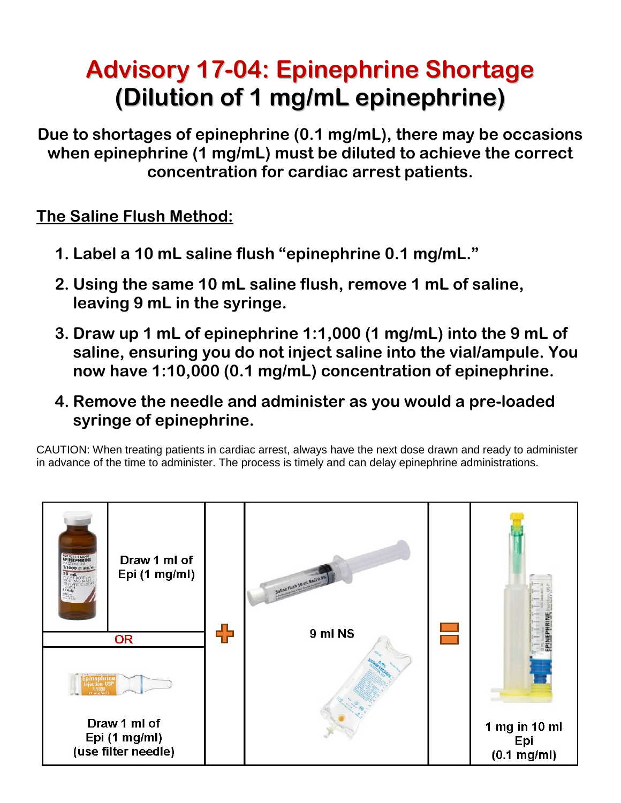# **Advisory 17-04: Epinephrine Shortage (Dilution of 1 mg/mL epinephrine)**

**Due to shortages of epinephrine (0.1 mg/mL), there may be occasions when epinephrine (1 mg/mL) must be diluted to achieve the correct concentration for cardiac arrest patients.**

### **The Saline Flush Method:**

- **1. Label a 10 mL saline flush "epinephrine 0.1 mg/mL."**
- **2. Using the same 10 mL saline flush, remove 1 mL of saline, leaving 9 mL in the syringe.**
- **3. Draw up 1 mL of epinephrine 1:1,000 (1 mg/mL) into the 9 mL of saline, ensuring you do not inject saline into the vial/ampule. You now have 1:10,000 (0.1 mg/mL) concentration of epinephrine.**
- **4. Remove the needle and administer as you would a pre-loaded syringe of epinephrine.**

CAUTION: When treating patients in cardiac arrest, always have the next dose drawn and ready to administer in advance of the time to administer. The process is timely and can delay epinephrine administrations.